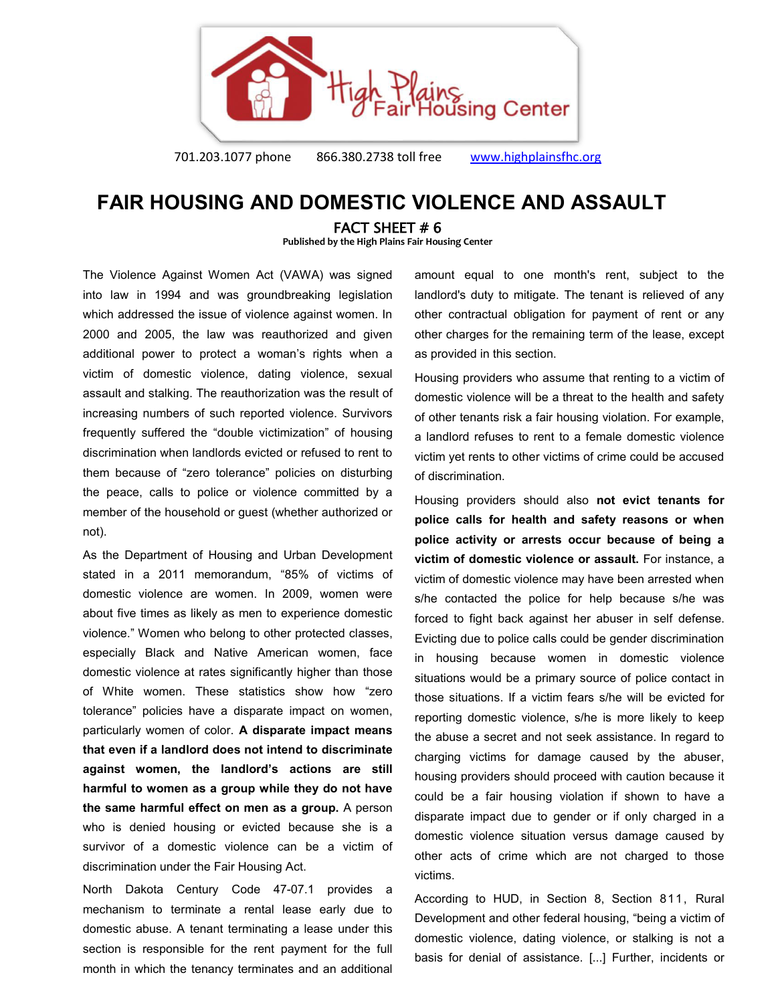

701.203.1077 phone 866.380.2738 toll free [www.highplainsfhc.org](http://www.highplainsfhc.org/)

## **FAIR HOUSING AND DOMESTIC VIOLENCE AND ASSAULT**

FACT SHEET # 6

**Published by the High Plains Fair Housing Center** 

The Violence Against Women Act (VAWA) was signed into law in 1994 and was groundbreaking legislation which addressed the issue of violence against women. In 2000 and 2005, the law was reauthorized and given additional power to protect a woman's rights when a victim of domestic violence, dating violence, sexual assault and stalking. The reauthorization was the result of increasing numbers of such reported violence. Survivors frequently suffered the "double victimization" of housing discrimination when landlords evicted or refused to rent to them because of "zero tolerance" policies on disturbing the peace, calls to police or violence committed by a member of the household or guest (whether authorized or not).

As the Department of Housing and Urban Development stated in a 2011 memorandum, "85% of victims of domestic violence are women. In 2009, women were about five times as likely as men to experience domestic violence." Women who belong to other protected classes, especially Black and Native American women, face domestic violence at rates significantly higher than those of White women. These statistics show how "zero tolerance" policies have a disparate impact on women, particularly women of color. **A disparate impact means that even if a landlord does not intend to discriminate against women, the landlord's actions are still harmful to women as a group while they do not have the same harmful effect on men as a group.** A person who is denied housing or evicted because she is a survivor of a domestic violence can be a victim of discrimination under the Fair Housing Act.

North Dakota Century Code 47-07.1 provides a mechanism to terminate a rental lease early due to domestic abuse. A tenant terminating a lease under this section is responsible for the rent payment for the full month in which the tenancy terminates and an additional

amount equal to one month's rent, subject to the landlord's duty to mitigate. The tenant is relieved of any other contractual obligation for payment of rent or any other charges for the remaining term of the lease, except as provided in this section.

Housing providers who assume that renting to a victim of domestic violence will be a threat to the health and safety of other tenants risk a fair housing violation. For example, a landlord refuses to rent to a female domestic violence victim yet rents to other victims of crime could be accused of discrimination.

Housing providers should also **not evict tenants for police calls for health and safety reasons or when police activity or arrests occur because of being a victim of domestic violence or assault.** For instance, a victim of domestic violence may have been arrested when s/he contacted the police for help because s/he was forced to fight back against her abuser in self defense. Evicting due to police calls could be gender discrimination in housing because women in domestic violence situations would be a primary source of police contact in those situations. If a victim fears s/he will be evicted for reporting domestic violence, s/he is more likely to keep the abuse a secret and not seek assistance. In regard to charging victims for damage caused by the abuser, housing providers should proceed with caution because it could be a fair housing violation if shown to have a disparate impact due to gender or if only charged in a domestic violence situation versus damage caused by other acts of crime which are not charged to those victims.

According to HUD, in Section 8, Section 811, Rural Development and other federal housing, "being a victim of domestic violence, dating violence, or stalking is not a basis for denial of assistance. [...] Further, incidents or